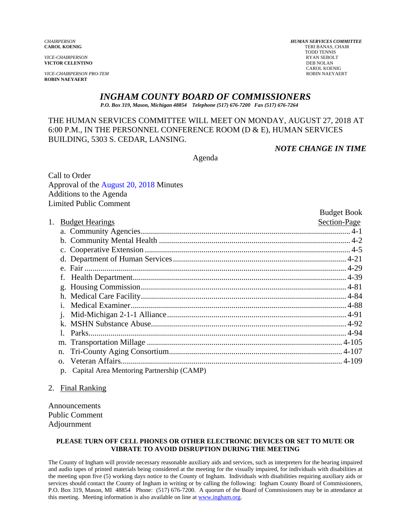*VICE-CHAIRPERSON* RYAN SEBOLT **VICTOR CELENTINO** 

**VICE-CHAIRPERSON PRO-TEM ROBIN NAEYAERT** 

# *INGHAM COUNTY BOARD OF COMMISSIONERS*

*P.O. Box 319, Mason, Michigan 48854 Telephone (517) 676-7200 Fax (517) 676-7264*

#### THE HUMAN SERVICES COMMITTEE WILL MEET ON MONDAY, AUGUST 27, 2018 AT 6:00 P.M., IN THE PERSONNEL CONFERENCE ROOM (D & E), HUMAN SERVICES BUILDING, 5303 S. CEDAR, LANSING.

*NOTE CHANGE IN TIME* 

Agenda

Call to Order Approval of [the August 20, 2018 Minutes](#page-1-0)  Additions to the Agenda Limited Public Comment

|    |                                                 | <b>Budget Book</b> |
|----|-------------------------------------------------|--------------------|
| 1. | <b>Budget Hearings</b>                          | Section-Page       |
|    |                                                 |                    |
|    |                                                 |                    |
|    |                                                 |                    |
|    |                                                 |                    |
|    |                                                 |                    |
|    | f.                                              |                    |
|    |                                                 |                    |
|    |                                                 |                    |
|    | $\mathbf{1}$                                    |                    |
|    |                                                 |                    |
|    |                                                 |                    |
|    |                                                 |                    |
|    |                                                 |                    |
|    | n.                                              |                    |
|    |                                                 |                    |
|    | Capital Area Mentoring Partnership (CAMP)<br>p. |                    |

#### 2. Final Ranking

Announcements Public Comment Adjournment

#### **PLEASE TURN OFF CELL PHONES OR OTHER ELECTRONIC DEVICES OR SET TO MUTE OR VIBRATE TO AVOID DISRUPTION DURING THE MEETING**

The County of Ingham will provide necessary reasonable auxiliary aids and services, such as interpreters for the hearing impaired and audio tapes of printed materials being considered at the meeting for the visually impaired, for individuals with disabilities at the meeting upon five (5) working days notice to the County of Ingham. Individuals with disabilities requiring auxiliary aids or services should contact the County of Ingham in writing or by calling the following: Ingham County Board of Commissioners, P.O. Box 319, Mason, MI 48854 Phone: (517) 676-7200. A quorum of the Board of Commissioners may be in attendance at this meeting. Meeting information is also available on line at www.ingham.org.

*CHAIRPERSON HUMAN SERVICES COMMITTEE* **TERI BANAS, CHAIR**  TODD TENNIS CAROL KOENIG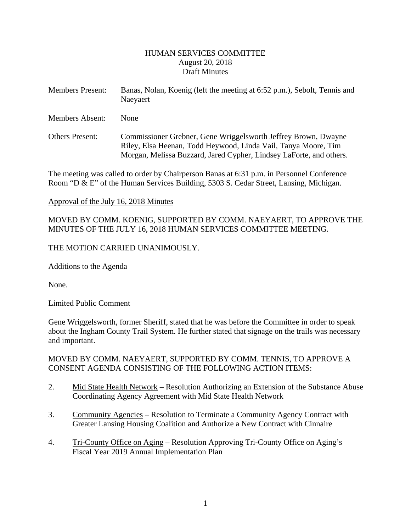#### HUMAN SERVICES COMMITTEE August 20, 2018 Draft Minutes

<span id="page-1-0"></span>

| <b>Members Present:</b> | Banas, Nolan, Koenig (left the meeting at 6:52 p.m.), Sebolt, Tennis and<br>Naeyaert |  |  |
|-------------------------|--------------------------------------------------------------------------------------|--|--|
| <b>Members Absent:</b>  | <b>None</b>                                                                          |  |  |
| $\sim$ $\sim$           | $\sim$ 1<br>$\sim$ $\sim$                                                            |  |  |

Others Present: Commissioner Grebner, Gene Wriggelsworth Jeffrey Brown, Dwayne Riley, Elsa Heenan, Todd Heywood, Linda Vail, Tanya Moore, Tim Morgan, Melissa Buzzard, Jared Cypher, Lindsey LaForte, and others.

The meeting was called to order by Chairperson Banas at 6:31 p.m. in Personnel Conference Room "D & E" of the Human Services Building, 5303 S. Cedar Street, Lansing, Michigan.

#### Approval of the July 16, 2018 Minutes

MOVED BY COMM. KOENIG, SUPPORTED BY COMM. NAEYAERT, TO APPROVE THE MINUTES OF THE JULY 16, 2018 HUMAN SERVICES COMMITTEE MEETING.

## THE MOTION CARRIED UNANIMOUSLY.

Additions to the Agenda

None.

## Limited Public Comment

Gene Wriggelsworth, former Sheriff, stated that he was before the Committee in order to speak about the Ingham County Trail System. He further stated that signage on the trails was necessary and important.

#### MOVED BY COMM. NAEYAERT, SUPPORTED BY COMM. TENNIS, TO APPROVE A CONSENT AGENDA CONSISTING OF THE FOLLOWING ACTION ITEMS:

- 2. Mid State Health Network Resolution Authorizing an Extension of the Substance Abuse Coordinating Agency Agreement with Mid State Health Network
- 3. Community Agencies Resolution to Terminate a Community Agency Contract with Greater Lansing Housing Coalition and Authorize a New Contract with Cinnaire
- 4. Tri-County Office on Aging Resolution Approving Tri-County Office on Aging's Fiscal Year 2019 Annual Implementation Plan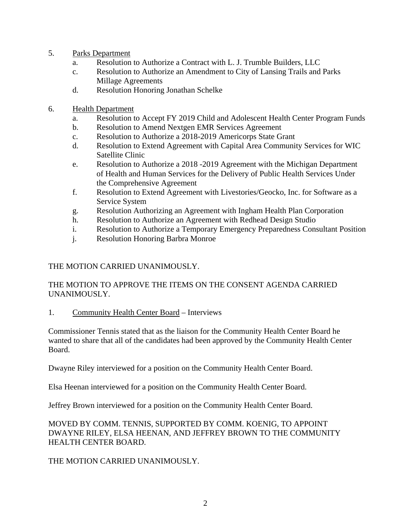- 5. Parks Department
	- a. Resolution to Authorize a Contract with L. J. Trumble Builders, LLC
	- c. Resolution to Authorize an Amendment to City of Lansing Trails and Parks Millage Agreements
	- d. Resolution Honoring Jonathan Schelke
- 6. Health Department
	- a. Resolution to Accept FY 2019 Child and Adolescent Health Center Program Funds
	- b. Resolution to Amend Nextgen EMR Services Agreement
	- c. Resolution to Authorize a 2018-2019 Americorps State Grant
	- d. Resolution to Extend Agreement with Capital Area Community Services for WIC Satellite Clinic
	- e. Resolution to Authorize a 2018 -2019 Agreement with the Michigan Department of Health and Human Services for the Delivery of Public Health Services Under the Comprehensive Agreement
	- f. Resolution to Extend Agreement with Livestories/Geocko, Inc. for Software as a Service System
	- g. Resolution Authorizing an Agreement with Ingham Health Plan Corporation
	- h. Resolution to Authorize an Agreement with Redhead Design Studio
	- i. Resolution to Authorize a Temporary Emergency Preparedness Consultant Position
	- j. Resolution Honoring Barbra Monroe

# THE MOTION CARRIED UNANIMOUSLY.

## THE MOTION TO APPROVE THE ITEMS ON THE CONSENT AGENDA CARRIED UNANIMOUSLY.

1. Community Health Center Board – Interviews

Commissioner Tennis stated that as the liaison for the Community Health Center Board he wanted to share that all of the candidates had been approved by the Community Health Center Board.

Dwayne Riley interviewed for a position on the Community Health Center Board.

Elsa Heenan interviewed for a position on the Community Health Center Board.

Jeffrey Brown interviewed for a position on the Community Health Center Board.

MOVED BY COMM. TENNIS, SUPPORTED BY COMM. KOENIG, TO APPOINT DWAYNE RILEY, ELSA HEENAN, AND JEFFREY BROWN TO THE COMMUNITY HEALTH CENTER BOARD.

THE MOTION CARRIED UNANIMOUSLY.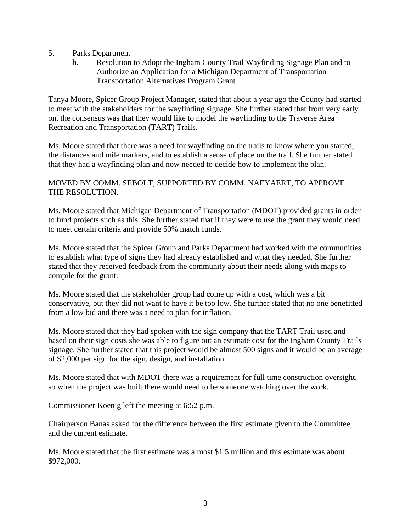- 5. Parks Department
	- b. Resolution to Adopt the Ingham County Trail Wayfinding Signage Plan and to Authorize an Application for a Michigan Department of Transportation Transportation Alternatives Program Grant

Tanya Moore, Spicer Group Project Manager, stated that about a year ago the County had started to meet with the stakeholders for the wayfinding signage. She further stated that from very early on, the consensus was that they would like to model the wayfinding to the Traverse Area Recreation and Transportation (TART) Trails.

Ms. Moore stated that there was a need for wayfinding on the trails to know where you started, the distances and mile markers, and to establish a sense of place on the trail. She further stated that they had a wayfinding plan and now needed to decide how to implement the plan.

# MOVED BY COMM. SEBOLT, SUPPORTED BY COMM. NAEYAERT, TO APPROVE THE RESOLUTION.

Ms. Moore stated that Michigan Department of Transportation (MDOT) provided grants in order to fund projects such as this. She further stated that if they were to use the grant they would need to meet certain criteria and provide 50% match funds.

Ms. Moore stated that the Spicer Group and Parks Department had worked with the communities to establish what type of signs they had already established and what they needed. She further stated that they received feedback from the community about their needs along with maps to compile for the grant.

Ms. Moore stated that the stakeholder group had come up with a cost, which was a bit conservative, but they did not want to have it be too low. She further stated that no one benefitted from a low bid and there was a need to plan for inflation.

Ms. Moore stated that they had spoken with the sign company that the TART Trail used and based on their sign costs she was able to figure out an estimate cost for the Ingham County Trails signage. She further stated that this project would be almost 500 signs and it would be an average of \$2,000 per sign for the sign, design, and installation.

Ms. Moore stated that with MDOT there was a requirement for full time construction oversight, so when the project was built there would need to be someone watching over the work.

Commissioner Koenig left the meeting at 6:52 p.m.

Chairperson Banas asked for the difference between the first estimate given to the Committee and the current estimate.

Ms. Moore stated that the first estimate was almost \$1.5 million and this estimate was about \$972,000.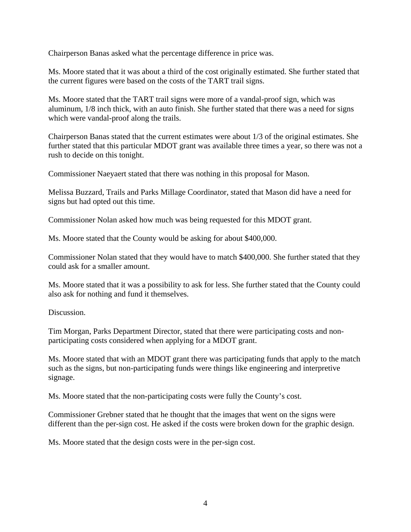Chairperson Banas asked what the percentage difference in price was.

Ms. Moore stated that it was about a third of the cost originally estimated. She further stated that the current figures were based on the costs of the TART trail signs.

Ms. Moore stated that the TART trail signs were more of a vandal-proof sign, which was aluminum, 1/8 inch thick, with an auto finish. She further stated that there was a need for signs which were vandal-proof along the trails.

Chairperson Banas stated that the current estimates were about 1/3 of the original estimates. She further stated that this particular MDOT grant was available three times a year, so there was not a rush to decide on this tonight.

Commissioner Naeyaert stated that there was nothing in this proposal for Mason.

Melissa Buzzard, Trails and Parks Millage Coordinator, stated that Mason did have a need for signs but had opted out this time.

Commissioner Nolan asked how much was being requested for this MDOT grant.

Ms. Moore stated that the County would be asking for about \$400,000.

Commissioner Nolan stated that they would have to match \$400,000. She further stated that they could ask for a smaller amount.

Ms. Moore stated that it was a possibility to ask for less. She further stated that the County could also ask for nothing and fund it themselves.

Discussion.

Tim Morgan, Parks Department Director, stated that there were participating costs and nonparticipating costs considered when applying for a MDOT grant.

Ms. Moore stated that with an MDOT grant there was participating funds that apply to the match such as the signs, but non-participating funds were things like engineering and interpretive signage.

Ms. Moore stated that the non-participating costs were fully the County's cost.

Commissioner Grebner stated that he thought that the images that went on the signs were different than the per-sign cost. He asked if the costs were broken down for the graphic design.

Ms. Moore stated that the design costs were in the per-sign cost.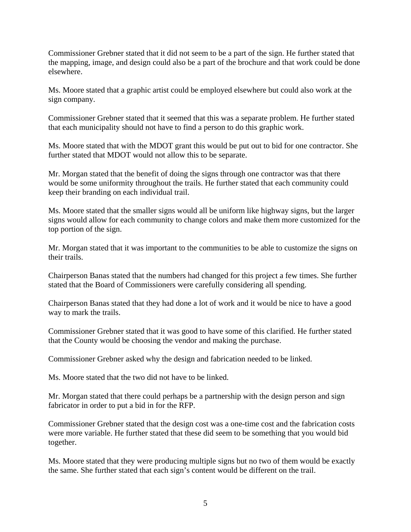Commissioner Grebner stated that it did not seem to be a part of the sign. He further stated that the mapping, image, and design could also be a part of the brochure and that work could be done elsewhere.

Ms. Moore stated that a graphic artist could be employed elsewhere but could also work at the sign company.

Commissioner Grebner stated that it seemed that this was a separate problem. He further stated that each municipality should not have to find a person to do this graphic work.

Ms. Moore stated that with the MDOT grant this would be put out to bid for one contractor. She further stated that MDOT would not allow this to be separate.

Mr. Morgan stated that the benefit of doing the signs through one contractor was that there would be some uniformity throughout the trails. He further stated that each community could keep their branding on each individual trail.

Ms. Moore stated that the smaller signs would all be uniform like highway signs, but the larger signs would allow for each community to change colors and make them more customized for the top portion of the sign.

Mr. Morgan stated that it was important to the communities to be able to customize the signs on their trails.

Chairperson Banas stated that the numbers had changed for this project a few times. She further stated that the Board of Commissioners were carefully considering all spending.

Chairperson Banas stated that they had done a lot of work and it would be nice to have a good way to mark the trails.

Commissioner Grebner stated that it was good to have some of this clarified. He further stated that the County would be choosing the vendor and making the purchase.

Commissioner Grebner asked why the design and fabrication needed to be linked.

Ms. Moore stated that the two did not have to be linked.

Mr. Morgan stated that there could perhaps be a partnership with the design person and sign fabricator in order to put a bid in for the RFP.

Commissioner Grebner stated that the design cost was a one-time cost and the fabrication costs were more variable. He further stated that these did seem to be something that you would bid together.

Ms. Moore stated that they were producing multiple signs but no two of them would be exactly the same. She further stated that each sign's content would be different on the trail.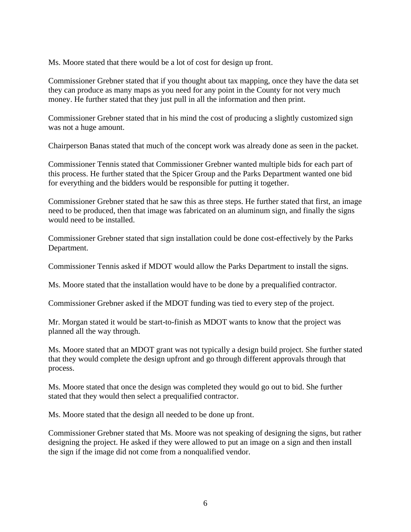Ms. Moore stated that there would be a lot of cost for design up front.

Commissioner Grebner stated that if you thought about tax mapping, once they have the data set they can produce as many maps as you need for any point in the County for not very much money. He further stated that they just pull in all the information and then print.

Commissioner Grebner stated that in his mind the cost of producing a slightly customized sign was not a huge amount.

Chairperson Banas stated that much of the concept work was already done as seen in the packet.

Commissioner Tennis stated that Commissioner Grebner wanted multiple bids for each part of this process. He further stated that the Spicer Group and the Parks Department wanted one bid for everything and the bidders would be responsible for putting it together.

Commissioner Grebner stated that he saw this as three steps. He further stated that first, an image need to be produced, then that image was fabricated on an aluminum sign, and finally the signs would need to be installed.

Commissioner Grebner stated that sign installation could be done cost-effectively by the Parks Department.

Commissioner Tennis asked if MDOT would allow the Parks Department to install the signs.

Ms. Moore stated that the installation would have to be done by a prequalified contractor.

Commissioner Grebner asked if the MDOT funding was tied to every step of the project.

Mr. Morgan stated it would be start-to-finish as MDOT wants to know that the project was planned all the way through.

Ms. Moore stated that an MDOT grant was not typically a design build project. She further stated that they would complete the design upfront and go through different approvals through that process.

Ms. Moore stated that once the design was completed they would go out to bid. She further stated that they would then select a prequalified contractor.

Ms. Moore stated that the design all needed to be done up front.

Commissioner Grebner stated that Ms. Moore was not speaking of designing the signs, but rather designing the project. He asked if they were allowed to put an image on a sign and then install the sign if the image did not come from a nonqualified vendor.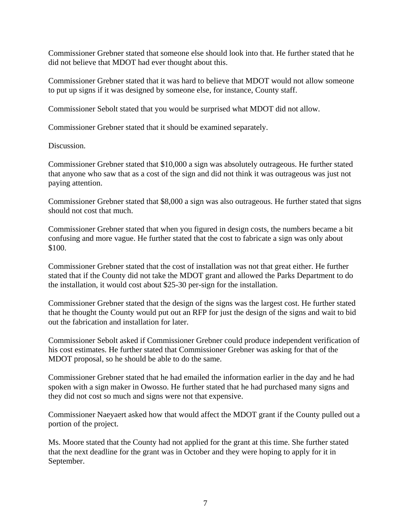Commissioner Grebner stated that someone else should look into that. He further stated that he did not believe that MDOT had ever thought about this.

Commissioner Grebner stated that it was hard to believe that MDOT would not allow someone to put up signs if it was designed by someone else, for instance, County staff.

Commissioner Sebolt stated that you would be surprised what MDOT did not allow.

Commissioner Grebner stated that it should be examined separately.

Discussion.

Commissioner Grebner stated that \$10,000 a sign was absolutely outrageous. He further stated that anyone who saw that as a cost of the sign and did not think it was outrageous was just not paying attention.

Commissioner Grebner stated that \$8,000 a sign was also outrageous. He further stated that signs should not cost that much.

Commissioner Grebner stated that when you figured in design costs, the numbers became a bit confusing and more vague. He further stated that the cost to fabricate a sign was only about \$100.

Commissioner Grebner stated that the cost of installation was not that great either. He further stated that if the County did not take the MDOT grant and allowed the Parks Department to do the installation, it would cost about \$25-30 per-sign for the installation.

Commissioner Grebner stated that the design of the signs was the largest cost. He further stated that he thought the County would put out an RFP for just the design of the signs and wait to bid out the fabrication and installation for later.

Commissioner Sebolt asked if Commissioner Grebner could produce independent verification of his cost estimates. He further stated that Commissioner Grebner was asking for that of the MDOT proposal, so he should be able to do the same.

Commissioner Grebner stated that he had emailed the information earlier in the day and he had spoken with a sign maker in Owosso. He further stated that he had purchased many signs and they did not cost so much and signs were not that expensive.

Commissioner Naeyaert asked how that would affect the MDOT grant if the County pulled out a portion of the project.

Ms. Moore stated that the County had not applied for the grant at this time. She further stated that the next deadline for the grant was in October and they were hoping to apply for it in September.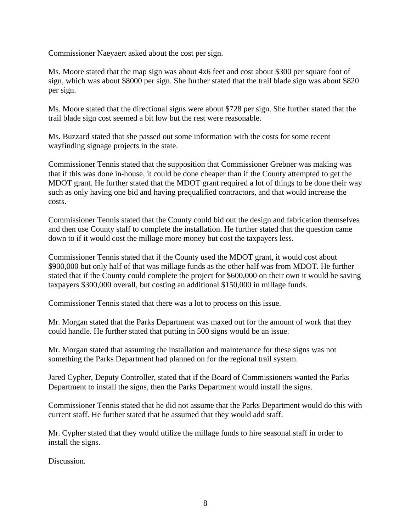Commissioner Naeyaert asked about the cost per sign.

Ms. Moore stated that the map sign was about 4x6 feet and cost about \$300 per square foot of sign, which was about \$8000 per sign. She further stated that the trail blade sign was about \$820 per sign.

Ms. Moore stated that the directional signs were about \$728 per sign. She further stated that the trail blade sign cost seemed a bit low but the rest were reasonable.

Ms. Buzzard stated that she passed out some information with the costs for some recent wayfinding signage projects in the state.

Commissioner Tennis stated that the supposition that Commissioner Grebner was making was that if this was done in-house, it could be done cheaper than if the County attempted to get the MDOT grant. He further stated that the MDOT grant required a lot of things to be done their way such as only having one bid and having prequalified contractors, and that would increase the costs.

Commissioner Tennis stated that the County could bid out the design and fabrication themselves and then use County staff to complete the installation. He further stated that the question came down to if it would cost the millage more money but cost the taxpayers less.

Commissioner Tennis stated that if the County used the MDOT grant, it would cost about \$900,000 but only half of that was millage funds as the other half was from MDOT. He further stated that if the County could complete the project for \$600,000 on their own it would be saving taxpayers \$300,000 overall, but costing an additional \$150,000 in millage funds.

Commissioner Tennis stated that there was a lot to process on this issue.

Mr. Morgan stated that the Parks Department was maxed out for the amount of work that they could handle. He further stated that putting in 500 signs would be an issue.

Mr. Morgan stated that assuming the installation and maintenance for these signs was not something the Parks Department had planned on for the regional trail system.

Jared Cypher, Deputy Controller, stated that if the Board of Commissioners wanted the Parks Department to install the signs, then the Parks Department would install the signs.

Commissioner Tennis stated that he did not assume that the Parks Department would do this with current staff. He further stated that he assumed that they would add staff.

Mr. Cypher stated that they would utilize the millage funds to hire seasonal staff in order to install the signs.

Discussion.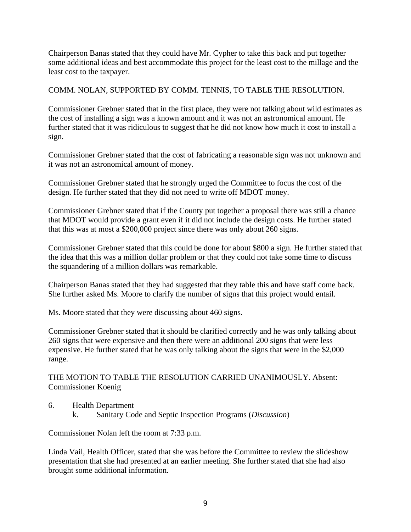Chairperson Banas stated that they could have Mr. Cypher to take this back and put together some additional ideas and best accommodate this project for the least cost to the millage and the least cost to the taxpayer.

# COMM. NOLAN, SUPPORTED BY COMM. TENNIS, TO TABLE THE RESOLUTION.

Commissioner Grebner stated that in the first place, they were not talking about wild estimates as the cost of installing a sign was a known amount and it was not an astronomical amount. He further stated that it was ridiculous to suggest that he did not know how much it cost to install a sign.

Commissioner Grebner stated that the cost of fabricating a reasonable sign was not unknown and it was not an astronomical amount of money.

Commissioner Grebner stated that he strongly urged the Committee to focus the cost of the design. He further stated that they did not need to write off MDOT money.

Commissioner Grebner stated that if the County put together a proposal there was still a chance that MDOT would provide a grant even if it did not include the design costs. He further stated that this was at most a \$200,000 project since there was only about 260 signs.

Commissioner Grebner stated that this could be done for about \$800 a sign. He further stated that the idea that this was a million dollar problem or that they could not take some time to discuss the squandering of a million dollars was remarkable.

Chairperson Banas stated that they had suggested that they table this and have staff come back. She further asked Ms. Moore to clarify the number of signs that this project would entail.

Ms. Moore stated that they were discussing about 460 signs.

Commissioner Grebner stated that it should be clarified correctly and he was only talking about 260 signs that were expensive and then there were an additional 200 signs that were less expensive. He further stated that he was only talking about the signs that were in the \$2,000 range.

THE MOTION TO TABLE THE RESOLUTION CARRIED UNANIMOUSLY. Absent: Commissioner Koenig

- 6. Health Department
	- k. Sanitary Code and Septic Inspection Programs (*Discussion*)

Commissioner Nolan left the room at 7:33 p.m.

Linda Vail, Health Officer, stated that she was before the Committee to review the slideshow presentation that she had presented at an earlier meeting. She further stated that she had also brought some additional information.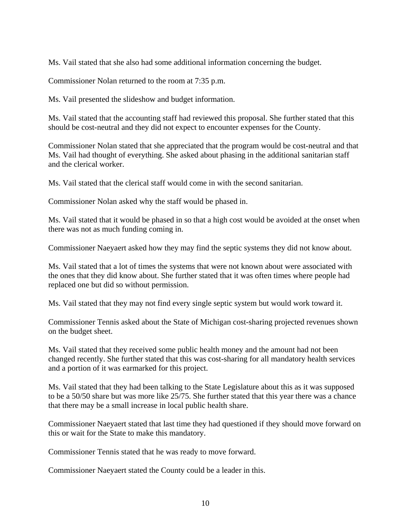Ms. Vail stated that she also had some additional information concerning the budget.

Commissioner Nolan returned to the room at 7:35 p.m.

Ms. Vail presented the slideshow and budget information.

Ms. Vail stated that the accounting staff had reviewed this proposal. She further stated that this should be cost-neutral and they did not expect to encounter expenses for the County.

Commissioner Nolan stated that she appreciated that the program would be cost-neutral and that Ms. Vail had thought of everything. She asked about phasing in the additional sanitarian staff and the clerical worker.

Ms. Vail stated that the clerical staff would come in with the second sanitarian.

Commissioner Nolan asked why the staff would be phased in.

Ms. Vail stated that it would be phased in so that a high cost would be avoided at the onset when there was not as much funding coming in.

Commissioner Naeyaert asked how they may find the septic systems they did not know about.

Ms. Vail stated that a lot of times the systems that were not known about were associated with the ones that they did know about. She further stated that it was often times where people had replaced one but did so without permission.

Ms. Vail stated that they may not find every single septic system but would work toward it.

Commissioner Tennis asked about the State of Michigan cost-sharing projected revenues shown on the budget sheet.

Ms. Vail stated that they received some public health money and the amount had not been changed recently. She further stated that this was cost-sharing for all mandatory health services and a portion of it was earmarked for this project.

Ms. Vail stated that they had been talking to the State Legislature about this as it was supposed to be a 50/50 share but was more like 25/75. She further stated that this year there was a chance that there may be a small increase in local public health share.

Commissioner Naeyaert stated that last time they had questioned if they should move forward on this or wait for the State to make this mandatory.

Commissioner Tennis stated that he was ready to move forward.

Commissioner Naeyaert stated the County could be a leader in this.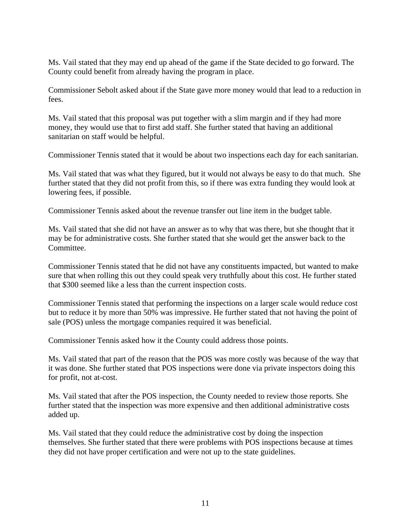Ms. Vail stated that they may end up ahead of the game if the State decided to go forward. The County could benefit from already having the program in place.

Commissioner Sebolt asked about if the State gave more money would that lead to a reduction in fees.

Ms. Vail stated that this proposal was put together with a slim margin and if they had more money, they would use that to first add staff. She further stated that having an additional sanitarian on staff would be helpful.

Commissioner Tennis stated that it would be about two inspections each day for each sanitarian.

Ms. Vail stated that was what they figured, but it would not always be easy to do that much. She further stated that they did not profit from this, so if there was extra funding they would look at lowering fees, if possible.

Commissioner Tennis asked about the revenue transfer out line item in the budget table.

Ms. Vail stated that she did not have an answer as to why that was there, but she thought that it may be for administrative costs. She further stated that she would get the answer back to the Committee.

Commissioner Tennis stated that he did not have any constituents impacted, but wanted to make sure that when rolling this out they could speak very truthfully about this cost. He further stated that \$300 seemed like a less than the current inspection costs.

Commissioner Tennis stated that performing the inspections on a larger scale would reduce cost but to reduce it by more than 50% was impressive. He further stated that not having the point of sale (POS) unless the mortgage companies required it was beneficial.

Commissioner Tennis asked how it the County could address those points.

Ms. Vail stated that part of the reason that the POS was more costly was because of the way that it was done. She further stated that POS inspections were done via private inspectors doing this for profit, not at-cost.

Ms. Vail stated that after the POS inspection, the County needed to review those reports. She further stated that the inspection was more expensive and then additional administrative costs added up.

Ms. Vail stated that they could reduce the administrative cost by doing the inspection themselves. She further stated that there were problems with POS inspections because at times they did not have proper certification and were not up to the state guidelines.